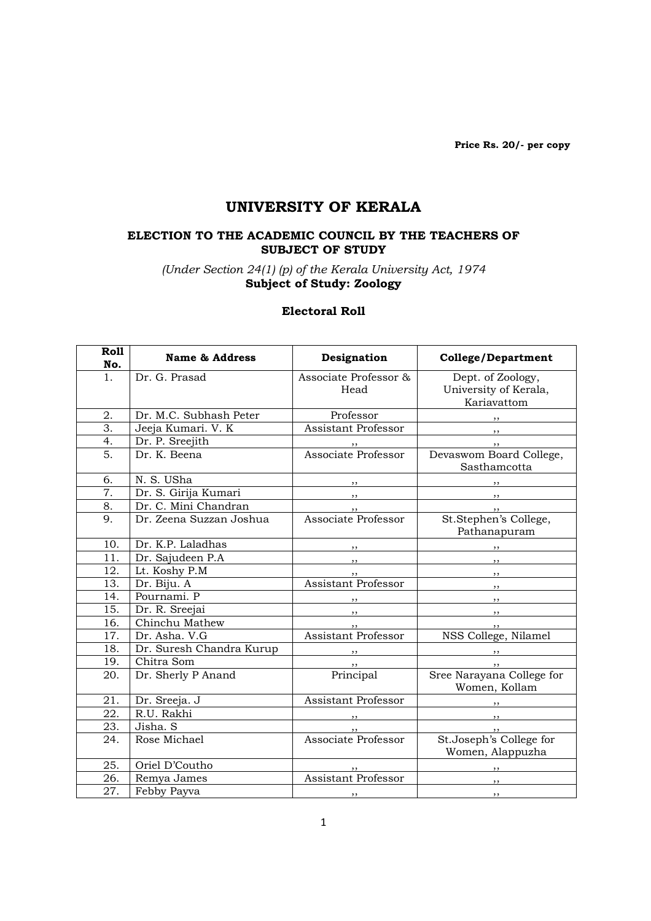Price Rs. 20/- per copy

# UNIVERSITY OF KERALA

#### ELECTION TO THE ACADEMIC COUNCIL BY THE TEACHERS OF SUBJECT OF STUDY

(Under Section 24(1) (p) of the Kerala University Act, 1974 Subject of Study: Zoology

#### Electoral Roll

| Roll<br>No.      | <b>Name &amp; Address</b> | Designation                               | <b>College/Department</b>                           |
|------------------|---------------------------|-------------------------------------------|-----------------------------------------------------|
| 1.               | Dr. G. Prasad             | Associate Professor &                     | Dept. of Zoology,                                   |
|                  |                           | Head                                      | University of Kerala,                               |
|                  |                           |                                           | Kariavattom                                         |
| 2.               | Dr. M.C. Subhash Peter    | Professor                                 | $, \, \, \cdot$                                     |
| 3.               | Jeeja Kumari. V. K        | <b>Assistant Professor</b>                | $, \,$                                              |
| 4.               | Dr. P. Sreejith           |                                           | $, \, \,$                                           |
| 5.               | Dr. K. Beena              | " by the Professor<br>Associate Professor | Devaswom Board College,                             |
| 6.               |                           |                                           | Sasthamcotta                                        |
| $\overline{7}$ . | N. S. USha                | , ,                                       |                                                     |
|                  | Dr. S. Girija Kumari      | $, \, \, \cdot$                           | $\overline{\phantom{a}}$                            |
| 8.               | Dr. C. Mini Chandran      | Associate Professor                       | , ,                                                 |
| 9.               | Dr. Zeena Suzzan Joshua   |                                           | St.Stephen's College,<br>Pathanapuram               |
| 10.              | Dr. K.P. Laladhas         |                                           | $\overline{\phantom{a}}$                            |
| 11.              | Dr. Sajudeen P.A          | $, \, \cdot$                              | $\overline{\phantom{a}}$ , $\overline{\phantom{a}}$ |
| 12.              | Lt. Koshy P.M             | , ,                                       | $\overline{\phantom{a}}$                            |
| 13.              | Dr. Biju. A               | <b>Assistant Professor</b>                | $\overline{\phantom{a}}$                            |
| 14.              | Pournami. P               |                                           | $, \,$                                              |
| 15.              | Dr. R. Sreejai            | $\overline{\phantom{a}}$                  | $\overline{\phantom{a}}$                            |
| 16.              | Chinchu Mathew            | , ,                                       | , ,                                                 |
| 17.              | Dr. Asha. V.G             | <b>Assistant Professor</b>                | NSS College, Nilamel                                |
| 18.              | Dr. Suresh Chandra Kurup  |                                           |                                                     |
| 19.              | Chitra Som                | , ,                                       | $\overline{\phantom{a}}$                            |
| 20.              | Dr. Sherly P Anand        | Principal                                 | Sree Narayana College for<br>Women, Kollam          |
| 21.              | Dr. Sreeja. J             | Assistant Professor                       |                                                     |
| 22.              | R.U. Rakhi                |                                           |                                                     |
| 23.              | Jisha. S                  | $, \,$                                    | $, \, \cdot$                                        |
| 24.              | Rose Michael              | Associate Professor                       | St.Joseph's College for                             |
|                  |                           |                                           | Women, Alappuzha                                    |
| 25.              | Oriel D'Coutho            |                                           |                                                     |
| 26.              | Remya James               | <b>Assistant Professor</b>                | $, \, \, \cdot$                                     |
| 27.              | Febby Payva               | $\overline{\phantom{a}}$                  | $, \, \, \cdot$                                     |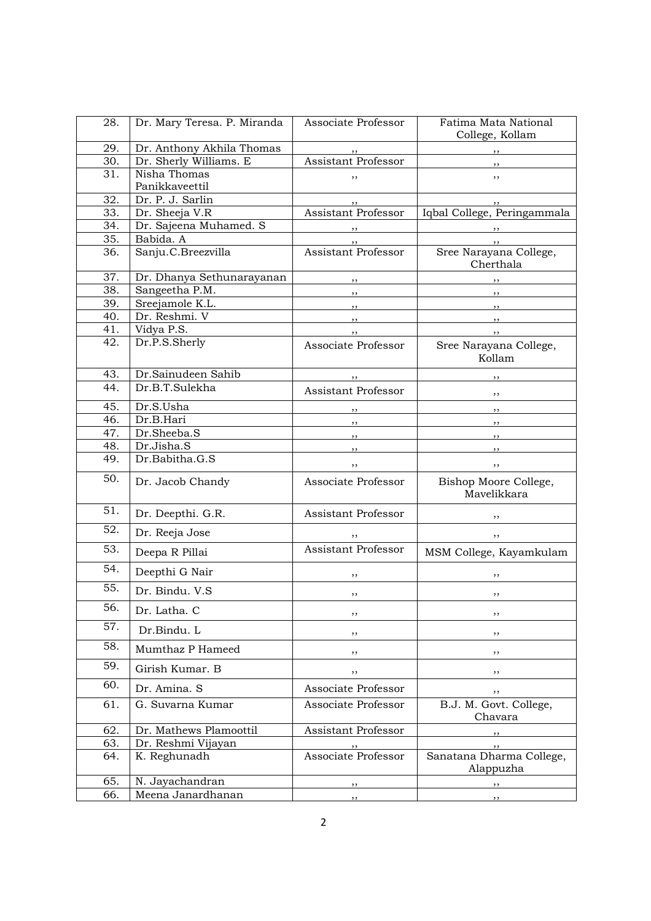| 28.        | Dr. Mary Teresa. P. Miranda        | Associate Professor        | Fatima Mata National                               |
|------------|------------------------------------|----------------------------|----------------------------------------------------|
|            |                                    |                            | College, Kollam                                    |
| 29.        | Dr. Anthony Akhila Thomas          |                            | $, \,$                                             |
| 30.        | Dr. Sherly Williams. E             | <b>Assistant Professor</b> |                                                    |
| 31.        | Nisha Thomas                       | ,,                         | ,,                                                 |
|            | Panikkaveettil                     |                            |                                                    |
| 32.<br>33. | Dr. P. J. Sarlin<br>Dr. Sheeja V.R | <b>Assistant Professor</b> | , ,<br>Iqbal College, Peringammala                 |
| 34.        | Dr. Sajeena Muhamed. S             |                            |                                                    |
| 35.        | Babida. A                          |                            | $\overline{\phantom{a}}$                           |
| 36.        | Sanju.C.Breezvilla                 | <b>Assistant Professor</b> | $\overline{\phantom{a}}$<br>Sree Narayana College, |
|            |                                    |                            | Cherthala                                          |
| 37.        | Dr. Dhanya Sethunarayanan          | $\overline{\phantom{a}}$   |                                                    |
| 38.        | Sangeetha P.M.                     | $\overline{\phantom{a}}$   | $\overline{\phantom{a}}$                           |
| 39.        | Sreejamole K.L.                    | , 1                        |                                                    |
| 40.        | Dr. Reshmi. V                      | $\overline{\phantom{a}}$   |                                                    |
| 41.        | Vidya P.S.                         | , ,                        | $\overline{\phantom{a}}$ ,,                        |
| 42.        | Dr.P.S.Sherly                      | Associate Professor        | Sree Narayana College,<br>Kollam                   |
| 43.        | Dr.Sainudeen Sahib                 |                            |                                                    |
| 44.        | Dr.B.T.Sulekha                     | $\overline{\phantom{a}}$   | , ,                                                |
|            |                                    | Assistant Professor        | , ,                                                |
| 45.        | Dr.S.Usha                          |                            | $\overline{\phantom{a}}$                           |
| 46.        | Dr.B.Hari                          | $\overline{\phantom{a}}$   | , ,                                                |
| 47.        | Dr.Sheeba.S                        |                            | , ,                                                |
| 48.        | Dr.Jisha.S                         | ,,                         | , ,                                                |
| 49.        | Dr.Babitha.G.S                     | ,,                         | ,,                                                 |
| 50.        | Dr. Jacob Chandy                   | Associate Professor        | Bishop Moore College,<br>Mavelikkara               |
| 51.        | Dr. Deepthi. G.R.                  | Assistant Professor        |                                                    |
| 52.        | Dr. Reeja Jose                     | ,,                         | ,,                                                 |
| 53.        | Deepa R Pillai                     | <b>Assistant Professor</b> | MSM College, Kayamkulam                            |
| 54.        | Deepthi G Nair                     | ,,                         | ,,                                                 |
| 55.        | Dr. Bindu. V.S                     | ,,                         | ,,                                                 |
| 56.        | Dr. Latha. C                       | ,,                         | ,,                                                 |
| 57.        | Dr.Bindu. L                        | ,,                         | ,,                                                 |
| 58.        | Mumthaz P Hameed                   | ,,                         | $, \,$                                             |
| 59.        | Girish Kumar. B                    | ,,                         | ,,                                                 |
| 60.        | Dr. Amina. S                       | Associate Professor        | , ,                                                |
| 61.        | G. Suvarna Kumar                   | Associate Professor        | B.J. M. Govt. College,<br>Chavara                  |
| 62.        | Dr. Mathews Plamoottil             | Assistant Professor        |                                                    |
| 63.        | Dr. Reshmi Vijayan                 |                            |                                                    |
| 64.        | K. Reghunadh                       | Associate Professor        | Sanatana Dharma College,<br>Alappuzha              |
| 65.        | N. Jayachandran                    |                            | , ,                                                |
| 66.        | Meena Janardhanan                  | ,,                         | , ,                                                |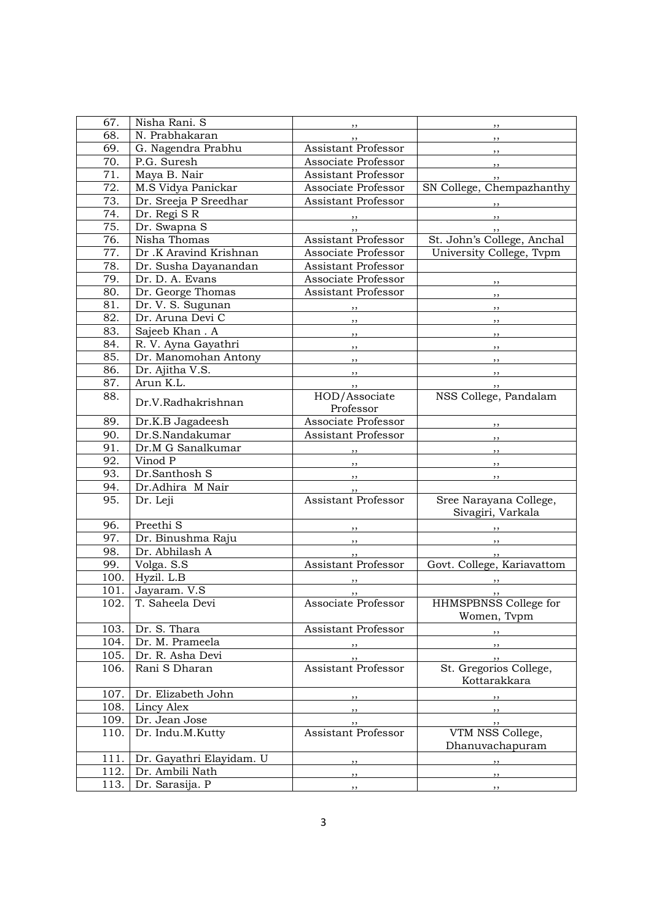| 67.  | Nisha Rani. S                | , ,                              | $, \,$                               |
|------|------------------------------|----------------------------------|--------------------------------------|
| 68.  | N. Prabhakaran               | ,,                               | $, \,$                               |
| 69.  | G. Nagendra Prabhu           | Assistant Professor              | , ,                                  |
| 70.  | P.G. Suresh                  | Associate Professor              | , ,                                  |
| 71.  | Maya B. Nair                 | Assistant Professor              | , ,                                  |
| 72.  | M.S Vidya Panickar           | Associate Professor              | SN College, Chempazhanthy            |
| 73.  | Dr. Sreeja P Sreedhar        | Assistant Professor              | , 1                                  |
| 74.  | Dr. Regi SR                  |                                  | $, \, \, \cdot$                      |
| 75.  | Dr. Swapna S                 | $, \, \, \cdot$<br>, ,           | , ,                                  |
| 76.  | Nisha Thomas                 | Assistant Professor              | St. John's College, Anchal           |
| 77.  | Dr .K Aravind Krishnan       | Associate Professor              | University College, Tvpm             |
| 78.  | Dr. Susha Dayanandan         | <b>Assistant Professor</b>       |                                      |
| 79.  | Dr. D. A. Evans              | Associate Professor              |                                      |
| 80.  | Dr. George Thomas            | Assistant Professor              | $, \,$                               |
| 81.  | Dr. V. S. Sugunan            |                                  | , ,                                  |
| 82.  | Dr. Aruna Devi C             | $, \, \cdot$                     | , ,                                  |
| 83.  | Sajeeb Khan. A               | , 1                              | $, \, \, \cdot$                      |
| 84.  | R. V. Ayna Gayathri          | , 1                              | $, \, \,$                            |
| 85.  | Dr. Manomohan Antony         | , 1                              | $, \, \, \cdot$                      |
| 86.  |                              | $, \, \,$                        | $\overline{\phantom{a}}$             |
| 87.  | Dr. Ajitha V.S.<br>Arun K.L. | $, \, \, \cdot$                  | $\overline{\phantom{a}}$             |
|      |                              | $\overline{\phantom{a}}$         | , ,                                  |
| 88.  | Dr.V.Radhakrishnan           | HOD/Associate<br>Professor       | NSS College, Pandalam                |
| 89.  | Dr.K.B Jagadeesh             | Associate Professor              |                                      |
| 90.  | Dr.S.Nandakumar              | Assistant Professor              | $\overline{\phantom{a}}$             |
| 91.  | Dr.M G Sanalkumar            |                                  | $\overline{\phantom{a}}$             |
| 92.  | Vinod P                      | $\mathbf{z}$                     | $\overline{\phantom{a}}$             |
| 93.  | Dr.Santhosh S                | $\overline{\phantom{a}}$         | $\overline{\phantom{a}}$             |
| 94.  | Dr.Adhira M Nair             |                                  | $\overline{\phantom{a}}$             |
| 95.  | Dr. Leji                     | Assistant Professor              | Sree Narayana College,               |
|      |                              |                                  | Sivagiri, Varkala                    |
| 96.  | Preethi <sub>S</sub>         | $, \, \, \cdot$                  | $\overline{\phantom{a}}$             |
| 97.  | Dr. Binushma Raju            | $, \, \, \cdot$                  | $\overline{\phantom{a}}$             |
| 98.  | Dr. Abhilash A               | ,,                               | , , ,                                |
| 99.  | Volga. S.S                   | Assistant Professor              | Govt. College, Kariavattom           |
| 100. | Hyzil. L.B                   |                                  | , ,                                  |
| 101. | Jayaram. V.S                 | , , ,                            | , ,                                  |
| 102. | T. Saheela Devi              | Associate Professor              | HHMSPBNSS College for<br>Women, Typm |
| 103. | Dr. S. Thara                 | Assistant Professor              | ,,                                   |
| 104. | Dr. M. Prameela              | ,,                               | ,,                                   |
| 105. | Dr. R. Asha Devi             |                                  |                                      |
| 106. | Rani S Dharan                | ,,<br><b>Assistant Professor</b> | $, \, \,$<br>St. Gregorios College,  |
|      |                              |                                  | Kottarakkara                         |
| 107. | Dr. Elizabeth John           | $, \,$                           | , ,                                  |
| 108. | Lincy Alex                   | ,,                               | , ,                                  |
| 109. | Dr. Jean Jose                | ,,                               | , ,                                  |
| 110. | Dr. Indu.M.Kutty             | Assistant Professor              | VTM NSS College,                     |
|      |                              |                                  | Dhanuvachapuram                      |
| 111. | Dr. Gayathri Elayidam. U     | $, \,$                           | , ,                                  |
| 112. | Dr. Ambili Nath              | ,,                               | $, \,$                               |
| 113. | Dr. Sarasija. P              | ,,                               | , ,                                  |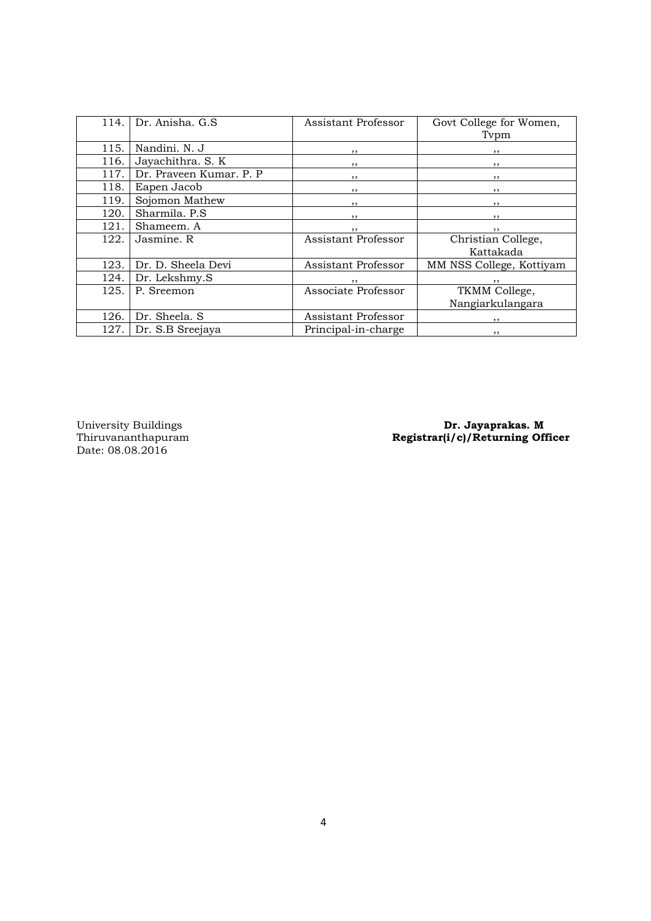| 114. | Dr. Anisha, G.S.        | Assistant Professor | Govt College for Women,  |
|------|-------------------------|---------------------|--------------------------|
|      |                         |                     | Typm                     |
| 115. | Nandini, N. J           | $, \, \,$           |                          |
| 116. | Jayachithra. S. K       | , ,                 | , ,                      |
| 117. | Dr. Praveen Kumar. P. P | , ,                 | , ,                      |
| 118. | Eapen Jacob             | $, \,$              | , ,                      |
| 119. | Sojomon Mathew          | ,,                  | $, \,$                   |
| 120. | Sharmila, P.S.          | , ,                 | $, \,$                   |
| 121. | Shameem, A              | $, \,$              | $, \,$                   |
| 122. | Jasmine, R              | Assistant Professor | Christian College,       |
|      |                         |                     | Kattakada                |
| 123. | Dr. D. Sheela Devi      | Assistant Professor | MM NSS College, Kottiyam |
| 124. | Dr. Lekshmy.S           |                     | $, \,$                   |
| 125. | P. Sreemon              | Associate Professor | TKMM College,            |
|      |                         |                     | Nangiarkulangara         |
| 126. | Dr. Sheela, S           | Assistant Professor | ,,                       |
| 127. | Dr. S.B Sreejaya        | Principal-in-charge | , ,                      |
|      |                         |                     |                          |

Date: 08.08.2016

University Buildings **Dr. Jayaprakas. M** Thiruvananthapuram **Registrar(i/c)/Returning Officer**